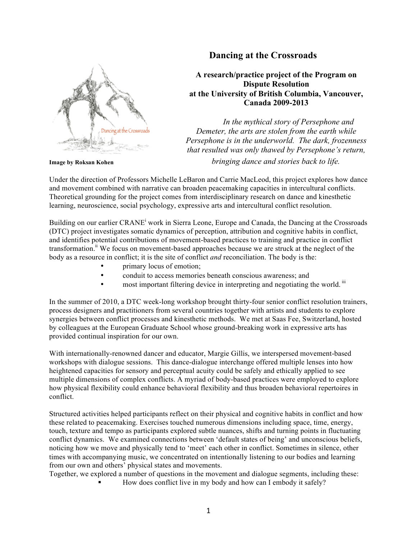## **Dancing at the Crossroads**



**A research/practice project of the Program on Dispute Resolution at the University of British Columbia, Vancouver, Canada 2009-2013**

*In the mythical story of Persephone and Demeter, the arts are stolen from the earth while Persephone is in the underworld. The dark, frozenness that resulted was only thawed by Persephone's return, bringing dance and stories back to life.*

**Image by Roksan Kohen**

Under the direction of Professors Michelle LeBaron and Carrie MacLeod, this project explores how dance and movement combined with narrative can broaden peacemaking capacities in intercultural conflicts. Theoretical grounding for the project comes from interdisciplinary research on dance and kinesthetic learning, neuroscience, social psychology, expressive arts and intercultural conflict resolution.

Building on our earlier CRANE<sup>i</sup> work in Sierra Leone, Europe and Canada, the Dancing at the Crossroads (DTC) project investigates somatic dynamics of perception, attribution and cognitive habits in conflict, and identifies potential contributions of movement-based practices to training and practice in conflict transformation.<sup>ii</sup> We focus on movement-based approaches because we are struck at the neglect of the body as a resource in conflict; it is the site of conflict *and* reconciliation. The body is the:

- primary locus of emotion;
- conduit to access memories beneath conscious awareness; and
- most important filtering device in interpreting and negotiating the world.<sup>iii</sup>

In the summer of 2010, a DTC week-long workshop brought thirty-four senior conflict resolution trainers, process designers and practitioners from several countries together with artists and students to explore synergies between conflict processes and kinesthetic methods. We met at Saas Fee, Switzerland, hosted by colleagues at the European Graduate School whose ground-breaking work in expressive arts has provided continual inspiration for our own.

With internationally-renowned dancer and educator, Margie Gillis, we interspersed movement-based workshops with dialogue sessions. This dance-dialogue interchange offered multiple lenses into how heightened capacities for sensory and perceptual acuity could be safely and ethically applied to see multiple dimensions of complex conflicts. A myriad of body-based practices were employed to explore how physical flexibility could enhance behavioral flexibility and thus broaden behavioral repertoires in conflict.

Structured activities helped participants reflect on their physical and cognitive habits in conflict and how these related to peacemaking. Exercises touched numerous dimensions including space, time, energy, touch, texture and tempo as participants explored subtle nuances, shifts and turning points in fluctuating conflict dynamics. We examined connections between 'default states of being' and unconscious beliefs, noticing how we move and physically tend to 'meet' each other in conflict. Sometimes in silence, other times with accompanying music, we concentrated on intentionally listening to our bodies and learning from our own and others' physical states and movements.

Together, we explored a number of questions in the movement and dialogue segments, including these:

! How does conflict live in my body and how can I embody it safely?